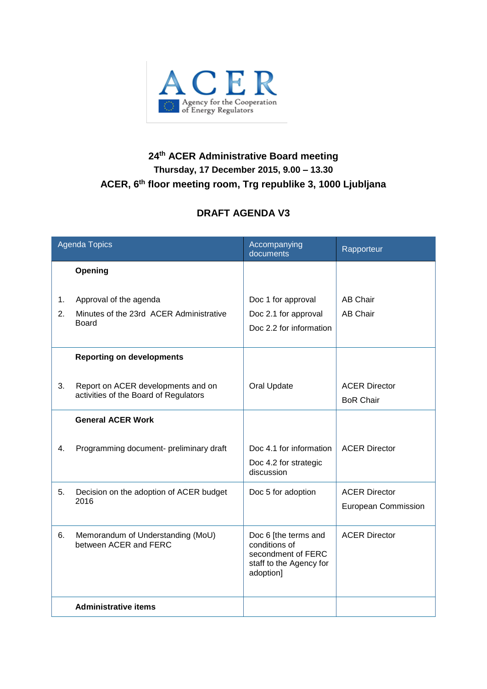

## **24 th ACER Administrative Board meeting Thursday, 17 December 2015, 9.00 – 13.30 ACER, 6 th floor meeting room, Trg republike 3, 1000 Ljubljana**

## **DRAFT AGENDA V3**

| <b>Agenda Topics</b> |                                                                                   | Accompanying<br>documents                                                                           | Rapporteur                                         |
|----------------------|-----------------------------------------------------------------------------------|-----------------------------------------------------------------------------------------------------|----------------------------------------------------|
|                      | Opening                                                                           |                                                                                                     |                                                    |
| 1.<br>2.             | Approval of the agenda<br>Minutes of the 23rd ACER Administrative<br><b>Board</b> | Doc 1 for approval<br>Doc 2.1 for approval<br>Doc 2.2 for information                               | <b>AB Chair</b><br><b>AB Chair</b>                 |
|                      | <b>Reporting on developments</b>                                                  |                                                                                                     |                                                    |
| 3.                   | Report on ACER developments and on<br>activities of the Board of Regulators       | Oral Update                                                                                         | <b>ACER Director</b><br><b>BoR Chair</b>           |
|                      | <b>General ACER Work</b>                                                          |                                                                                                     |                                                    |
| 4.                   | Programming document- preliminary draft                                           | Doc 4.1 for information<br>Doc 4.2 for strategic<br>discussion                                      | <b>ACER Director</b>                               |
| 5.                   | Decision on the adoption of ACER budget<br>2016                                   | Doc 5 for adoption                                                                                  | <b>ACER Director</b><br><b>European Commission</b> |
| 6.                   | Memorandum of Understanding (MoU)<br>between ACER and FERC                        | Doc 6 [the terms and<br>conditions of<br>secondment of FERC<br>staff to the Agency for<br>adoption] | <b>ACER Director</b>                               |
|                      | <b>Administrative items</b>                                                       |                                                                                                     |                                                    |